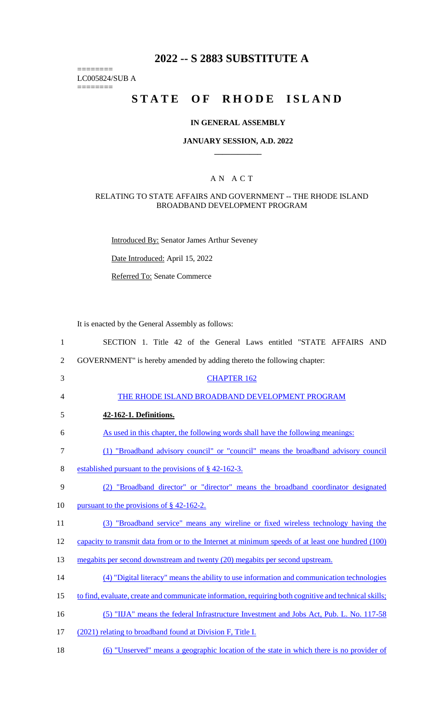# **2022 -- S 2883 SUBSTITUTE A**

LC005824/SUB A

========

========

# **STATE OF RHODE ISLAND**

## **IN GENERAL ASSEMBLY**

#### **JANUARY SESSION, A.D. 2022 \_\_\_\_\_\_\_\_\_\_\_\_**

### A N A C T

#### RELATING TO STATE AFFAIRS AND GOVERNMENT -- THE RHODE ISLAND BROADBAND DEVELOPMENT PROGRAM

Introduced By: Senator James Arthur Seveney

Date Introduced: April 15, 2022

Referred To: Senate Commerce

It is enacted by the General Assembly as follows:

| $\mathbf{1}$   | SECTION 1. Title 42 of the General Laws entitled "STATE AFFAIRS AND                                   |
|----------------|-------------------------------------------------------------------------------------------------------|
| $\overline{2}$ | GOVERNMENT" is hereby amended by adding thereto the following chapter:                                |
| 3              | <b>CHAPTER 162</b>                                                                                    |
| $\overline{4}$ | THE RHODE ISLAND BROADBAND DEVELOPMENT PROGRAM                                                        |
| 5              | 42-162-1. Definitions.                                                                                |
| 6              | As used in this chapter, the following words shall have the following meanings:                       |
| $\tau$         | (1) "Broadband advisory council" or "council" means the broadband advisory council                    |
| $8\,$          | established pursuant to the provisions of § 42-162-3.                                                 |
| 9              | (2) "Broadband director" or "director" means the broadband coordinator designated                     |
| 10             | pursuant to the provisions of $\S$ 42-162-2.                                                          |
| 11             | (3) "Broadband service" means any wireline or fixed wireless technology having the                    |
| 12             | capacity to transmit data from or to the Internet at minimum speeds of at least one hundred (100)     |
| 13             | megabits per second downstream and twenty (20) megabits per second upstream.                          |
| 14             | (4) "Digital literacy" means the ability to use information and communication technologies            |
| 15             | to find, evaluate, create and communicate information, requiring both cognitive and technical skills; |
| 16             | (5) "IIJA" means the federal Infrastructure Investment and Jobs Act, Pub. L. No. 117-58               |
| 17             | (2021) relating to broadband found at Division F, Title I.                                            |
| 18             | (6) "Unserved" means a geographic location of the state in which there is no provider of              |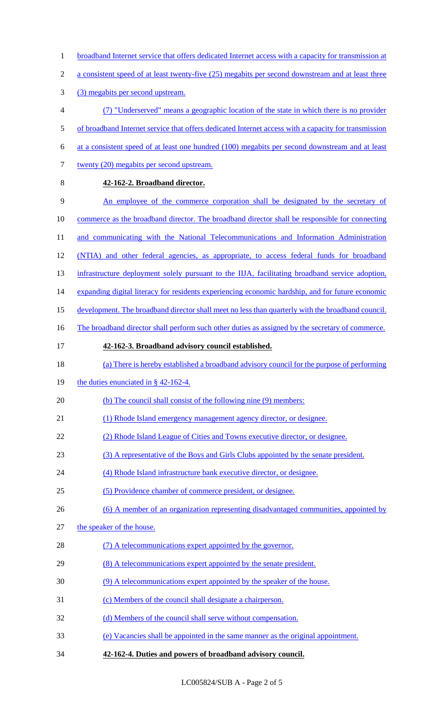1 broadband Internet service that offers dedicated Internet access with a capacity for transmission at 2 a consistent speed of at least twenty-five (25) megabits per second downstream and at least three 3 (3) megabits per second upstream. 4 (7) "Underserved" means a geographic location of the state in which there is no provider 5 of broadband Internet service that offers dedicated Internet access with a capacity for transmission 6 at a consistent speed of at least one hundred (100) megabits per second downstream and at least 7 twenty (20) megabits per second upstream. 8 **42-162-2. Broadband director.**  9 An employee of the commerce corporation shall be designated by the secretary of 10 commerce as the broadband director. The broadband director shall be responsible for connecting 11 and communicating with the National Telecommunications and Information Administration 12 (NTIA) and other federal agencies, as appropriate, to access federal funds for broadband 13 infrastructure deployment solely pursuant to the IIJA, facilitating broadband service adoption, 14 expanding digital literacy for residents experiencing economic hardship, and for future economic 15 development. The broadband director shall meet no less than quarterly with the broadband council. 16 The broadband director shall perform such other duties as assigned by the secretary of commerce. 17 **42-162-3. Broadband advisory council established.**  18 (a) There is hereby established a broadband advisory council for the purpose of performing 19 the duties enunciated in § 42-162-4. 20 (b) The council shall consist of the following nine (9) members: 21 (1) Rhode Island emergency management agency director, or designee. 22 (2) Rhode Island League of Cities and Towns executive director, or designee. 23 (3) A representative of the Boys and Girls Clubs appointed by the senate president. 24 (4) Rhode Island infrastructure bank executive director, or designee. 25 (5) Providence chamber of commerce president, or designee. 26 (6) A member of an organization representing disadvantaged communities, appointed by 27 the speaker of the house. 28 (7) A telecommunications expert appointed by the governor. 29 (8) A telecommunications expert appointed by the senate president. 30 (9) A telecommunications expert appointed by the speaker of the house. 31 (c) Members of the council shall designate a chairperson. 32 (d) Members of the council shall serve without compensation. 33 (e) Vacancies shall be appointed in the same manner as the original appointment. 34 **42-162-4. Duties and powers of broadband advisory council.**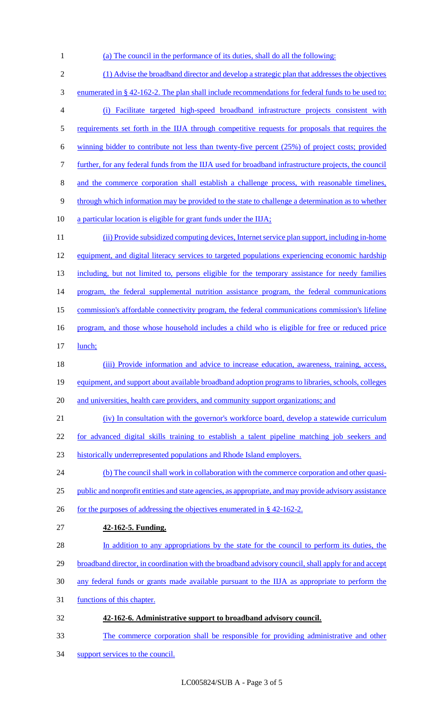- 1 (a) The council in the performance of its duties, shall do all the following:
- 2 (1) Advise the broadband director and develop a strategic plan that addresses the objectives 3 enumerated in § 42-162-2. The plan shall include recommendations for federal funds to be used to: 4 (i) Facilitate targeted high-speed broadband infrastructure projects consistent with 5 requirements set forth in the IIJA through competitive requests for proposals that requires the 6 winning bidder to contribute not less than twenty-five percent (25%) of project costs; provided 7 further, for any federal funds from the IIJA used for broadband infrastructure projects, the council 8 and the commerce corporation shall establish a challenge process, with reasonable timelines, 9 through which information may be provided to the state to challenge a determination as to whether 10 a particular location is eligible for grant funds under the IIJA; 11 (ii) Provide subsidized computing devices, Internet service plan support, including in-home 12 equipment, and digital literacy services to targeted populations experiencing economic hardship 13 including, but not limited to, persons eligible for the temporary assistance for needy families 14 program, the federal supplemental nutrition assistance program, the federal communications 15 commission's affordable connectivity program, the federal communications commission's lifeline 16 program, and those whose household includes a child who is eligible for free or reduced price 17 lunch; 18 (iii) Provide information and advice to increase education, awareness, training, access, 19 equipment, and support about available broadband adoption programs to libraries, schools, colleges 20 and universities, health care providers, and community support organizations; and 21 (iv) In consultation with the governor's workforce board, develop a statewide curriculum 22 for advanced digital skills training to establish a talent pipeline matching job seekers and 23 historically underrepresented populations and Rhode Island employers. 24 (b) The council shall work in collaboration with the commerce corporation and other quasi-25 public and nonprofit entities and state agencies, as appropriate, and may provide advisory assistance 26 for the purposes of addressing the objectives enumerated in  $\S$  42-162-2. 27 **42-162-5. Funding.**  28 In addition to any appropriations by the state for the council to perform its duties, the 29 broadband director, in coordination with the broadband advisory council, shall apply for and accept 30 any federal funds or grants made available pursuant to the IIJA as appropriate to perform the 31 functions of this chapter. 32 **42-162-6. Administrative support to broadband advisory council.**  33 The commerce corporation shall be responsible for providing administrative and other
- 34 support services to the council.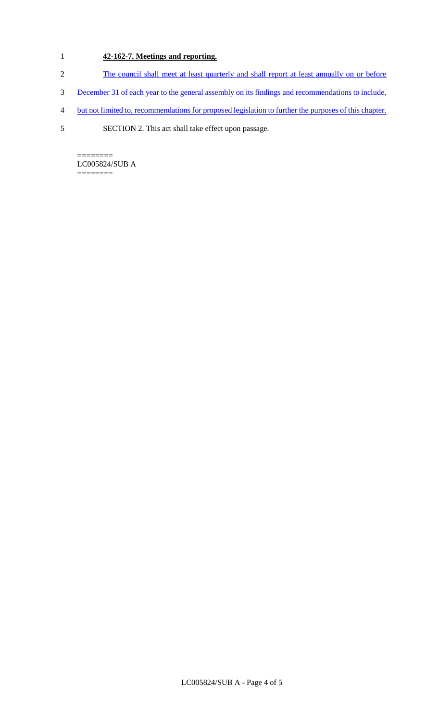# 1 **42-162-7. Meetings and reporting.**

- 2 The council shall meet at least quarterly and shall report at least annually on or before
- 3 December 31 of each year to the general assembly on its findings and recommendations to include,
- 4 but not limited to, recommendations for proposed legislation to further the purposes of this chapter.
- 5 SECTION 2. This act shall take effect upon passage.

======== LC005824/SUB A ========